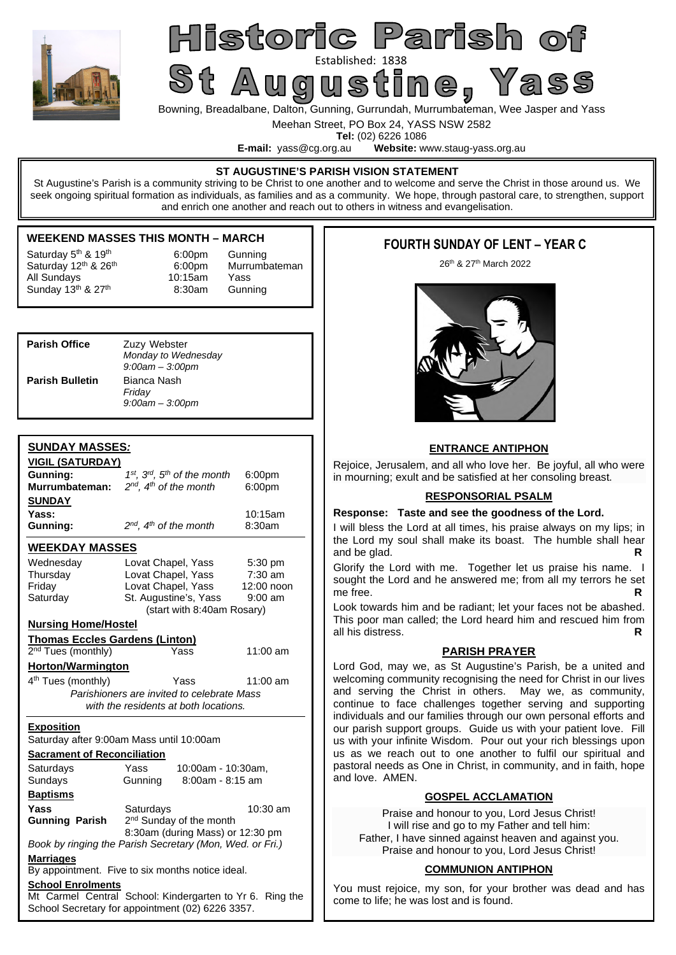

# Historic Parish of St Augustined: 1838<br>St Augustine, Yass

Bowning, Breadalbane, Dalton, Gunning, Gurrundah, Murrumbateman, Wee Jasper and Yass

Meehan Street, PO Box 24, YASS NSW 2582

**Tel:** (02) 6226 1086<br>**E-mail:** vass@cg.org.au **Website:** w Website: www.staug-yass.org.au

#### **ST AUGUSTINE'S PARISH VISION STATEMENT**

St Augustine's Parish is a community striving to be Christ to one another and to welcome and serve the Christ in those around us. We seek ongoing spiritual formation as individuals, as families and as a community. We hope, through pastoral care, to strengthen, support and enrich one another and reach out to others in witness and evangelisation.

## **WEEKEND MASSES THIS MONTH – MARCH**

Saturday 12<sup>th</sup> & 26<sup>th</sup> 6:00pm Murrumbateman Saturday 5<sup>th</sup> & 19<sup>th</sup> 6:00pm Gunning<br>Saturday 12<sup>th</sup> & 26<sup>th</sup> 6:00pm Murrumbateman All Sundays 10:15am Yass Sunday  $13<sup>th</sup>$  &  $27<sup>th</sup>$  8:30am Gunning

| <b>Parish Office</b>   | Zuzy Webster<br>Monday to Wednesday<br>$9:00$ am $-3:00$ pm |  |
|------------------------|-------------------------------------------------------------|--|
| <b>Parish Bulletin</b> | Bianca Nash<br>Friday<br>$9:00$ am $-3:00$ pm               |  |

## **SUNDAY MASSES***:*

| <b>VIGIL (SATURDAY)</b>                                              |                                             |                    |  |  |  |
|----------------------------------------------------------------------|---------------------------------------------|--------------------|--|--|--|
| Gunning:                                                             | $1^{st}$ , $3^{rd}$ , $5^{th}$ of the month | 6:00 <sub>pm</sub> |  |  |  |
| Murrumbateman:                                                       | $2^{nd}$ , $4^{th}$ of the month            | 6:00pm             |  |  |  |
| <b>SUNDAY</b>                                                        |                                             |                    |  |  |  |
| Yass:                                                                |                                             | 10:15am            |  |  |  |
| Gunning:                                                             | $2^{nd}$ , $4^{th}$ of the month            | 8:30am             |  |  |  |
| <b>WEEKDAY MASSES</b>                                                |                                             |                    |  |  |  |
| Wednesday                                                            | Lovat Chapel, Yass                          | 5:30 pm            |  |  |  |
| Thursday                                                             | Lovat Chapel, Yass                          | $7:30$ am          |  |  |  |
| Friday                                                               | Lovat Chapel, Yass                          | 12:00 noon         |  |  |  |
| Saturday                                                             | St. Augustine's, Yass                       | $9:00$ am          |  |  |  |
|                                                                      | (start with 8:40am Rosary)                  |                    |  |  |  |
| <b>Nursing Home/Hostel</b>                                           |                                             |                    |  |  |  |
| <b>Thomas Eccles Gardens (Linton)</b>                                |                                             |                    |  |  |  |
| 2 <sup>nd</sup> Tues (monthly)                                       | Yass                                        | 11:00 am           |  |  |  |
| <b>Horton/Warmington</b>                                             |                                             |                    |  |  |  |
| 4 <sup>th</sup> Tues (monthly)                                       | Yass                                        | $11:00$ am         |  |  |  |
|                                                                      | Parishioners are invited to celebrate Mass  |                    |  |  |  |
| with the residents at both locations.                                |                                             |                    |  |  |  |
| <b>Exposition</b>                                                    |                                             |                    |  |  |  |
|                                                                      | Saturday after 9:00am Mass until 10:00am    |                    |  |  |  |
| <b>Sacrament of Reconciliation</b>                                   |                                             |                    |  |  |  |
| Saturdays                                                            | Yass<br>10:00am - 10:30am,                  |                    |  |  |  |
| Sundays                                                              | Gunning<br>8:00am - 8:15 am                 |                    |  |  |  |
| <b>Baptisms</b>                                                      |                                             |                    |  |  |  |
| Yass                                                                 | Saturdays                                   | 10:30 am           |  |  |  |
| <b>Gunning Parish</b>                                                | 2 <sup>nd</sup> Sunday of the month         |                    |  |  |  |
| 8:30am (during Mass) or 12:30 pm                                     |                                             |                    |  |  |  |
| Book by ringing the Parish Secretary (Mon, Wed. or Fri.)             |                                             |                    |  |  |  |
| <b>Marriages</b><br>By appointment. Five to six months notice ideal. |                                             |                    |  |  |  |
| <b>School Enrolments</b>                                             |                                             |                    |  |  |  |
| Mt Carmel Central School: Kindergarten to Yr 6. Ring the             |                                             |                    |  |  |  |
| School Secretary for appointment (02) 6226 3357.                     |                                             |                    |  |  |  |

## **FOURTH SUNDAY OF LENT – YEAR C**

26th & 27th March 2022



## **ENTRANCE ANTIPHON**

Rejoice, Jerusalem, and all who love her. Be joyful, all who were in mourning; exult and be satisfied at her consoling breast.

## **RESPONSORIAL PSALM**

#### **Response: Taste and see the goodness of the Lord.**

I will bless the Lord at all times, his praise always on my lips; in the Lord my soul shall make its boast. The humble shall hear and be glad.

Glorify the Lord with me. Together let us praise his name. I sought the Lord and he answered me; from all my terrors he set me free.

Look towards him and be radiant; let your faces not be abashed. This poor man called; the Lord heard him and rescued him from all his distress.

## **PARISH PRAYER**

Lord God, may we, as St Augustine's Parish, be a united and welcoming community recognising the need for Christ in our lives and serving the Christ in others. May we, as community, continue to face challenges together serving and supporting individuals and our families through our own personal efforts and our parish support groups. Guide us with your patient love. Fill us with your infinite Wisdom. Pour out your rich blessings upon us as we reach out to one another to fulfil our spiritual and pastoral needs as One in Christ, in community, and in faith, hope and love. AMEN.

## **GOSPEL ACCLAMATION**

Praise and honour to you, Lord Jesus Christ! I will rise and go to my Father and tell him: Father, I have sinned against heaven and against you. Praise and honour to you, Lord Jesus Christ!

## **COMMUNION ANTIPHON**

You must rejoice, my son, for your brother was dead and has come to life; he was lost and is found.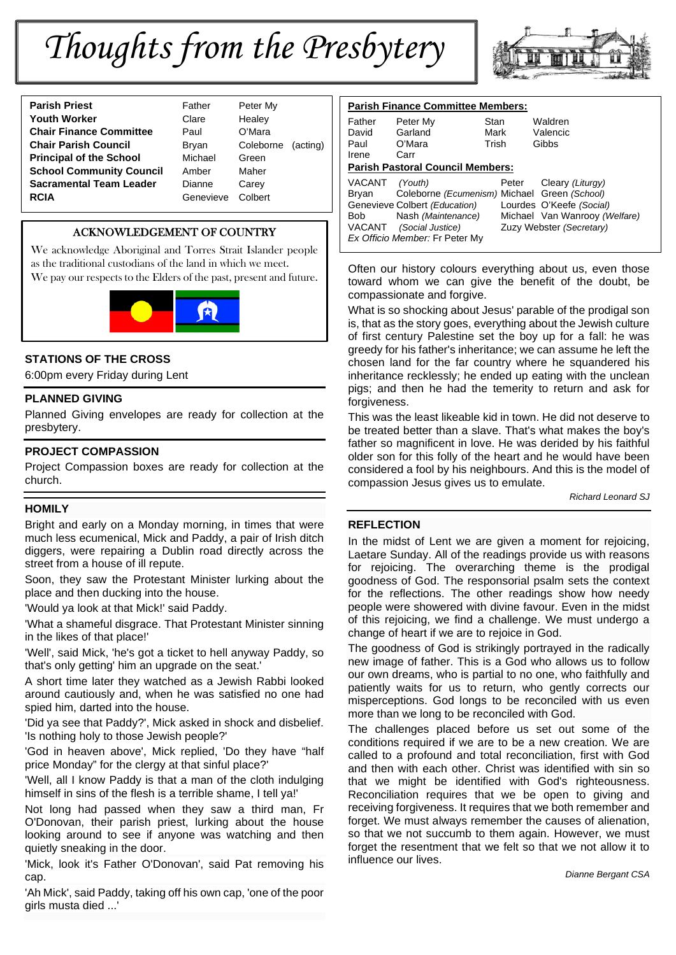# *Thoughts from the Presbytery*



| <b>Parish Priest</b>            | Father    | Peter <sub>N</sub> |
|---------------------------------|-----------|--------------------|
| <b>Youth Worker</b>             | Clare     | Healey             |
| <b>Chair Finance Committee</b>  | Paul      | O'Mara             |
| <b>Chair Parish Council</b>     | Bryan     | Colebo             |
| <b>Principal of the School</b>  | Michael   | Green              |
| <b>School Community Council</b> | Amber     | Maher              |
| <b>Sacramental Team Leader</b>  | Dianne    | Carey              |
| <b>RCIA</b>                     | Genevieve | Colbert            |
|                                 |           |                    |

ather **Peter My** *Healey* ryan Coleborne (acting) **Principal of the School** Michael Green **Renevieve Colbert** 

## ACKNOWLEDGEMENT OF COUNTRY

We acknowledge Aboriginal and Torres Strait Islander people as the traditional custodians of the land in which we meet. We pay our respects to the Elders of the past, present and future.



## **STATIONS OF THE CROSS**

6:00pm every Friday during Lent

## **PLANNED GIVING**

Planned Giving envelopes are ready for collection at the presbytery.

## **PROJECT COMPASSION**

Project Compassion boxes are ready for collection at the church.

## **HOMILY**

Bright and early on a Monday morning, in times that were much less ecumenical, Mick and Paddy, a pair of Irish ditch diggers, were repairing a Dublin road directly across the street from a house of ill repute.

Soon, they saw the Protestant Minister lurking about the place and then ducking into the house.

'Would ya look at that Mick!' said Paddy.

'What a shameful disgrace. That Protestant Minister sinning in the likes of that place!'

'Well', said Mick, 'he's got a ticket to hell anyway Paddy, so that's only getting' him an upgrade on the seat.'

A short time later they watched as a Jewish Rabbi looked around cautiously and, when he was satisfied no one had spied him, darted into the house.

'Did ya see that Paddy?', Mick asked in shock and disbelief. 'Is nothing holy to those Jewish people?'

'God in heaven above', Mick replied, 'Do they have "half price Monday" for the clergy at that sinful place?'

'Well, all I know Paddy is that a man of the cloth indulging himself in sins of the flesh is a terrible shame, I tell ya!'

Not long had passed when they saw a third man, Fr O'Donovan, their parish priest, lurking about the house looking around to see if anyone was watching and then quietly sneaking in the door.

'Mick, look it's Father O'Donovan', said Pat removing his cap.

'Ah Mick', said Paddy, taking off his own cap, 'one of the poor girls musta died ...'

| <b>Parish Finance Committee Members:</b> |                                              |       |                               |  |  |
|------------------------------------------|----------------------------------------------|-------|-------------------------------|--|--|
| Father                                   | Peter My                                     | Stan  | Waldren                       |  |  |
| David                                    | Garland                                      | Mark  | Valencic                      |  |  |
| Paul                                     | O'Mara                                       | Trish | Gibbs                         |  |  |
| Irene                                    | Carr                                         |       |                               |  |  |
| <b>Parish Pastoral Council Members:</b>  |                                              |       |                               |  |  |
| VACANT                                   | (Youth)                                      | Peter | Cleary (Liturgy)              |  |  |
| Brvan                                    | Coleborne (Ecumenism) Michael Green (School) |       |                               |  |  |
|                                          | Genevieve Colbert (Education)                |       | Lourdes O'Keefe (Social)      |  |  |
| Bob                                      | Nash (Maintenance)                           |       | Michael Van Wanrooy (Welfare) |  |  |
|                                          | VACANT (Social Justice)                      |       | Zuzy Webster (Secretary)      |  |  |
| Ex Officio Member: Fr Peter My           |                                              |       |                               |  |  |

Often our history colours everything about us, even those toward whom we can give the benefit of the doubt, be compassionate and forgive.

What is so shocking about Jesus' parable of the prodigal son is, that as the story goes, everything about the Jewish culture of first century Palestine set the boy up for a fall: he was greedy for his father's inheritance; we can assume he left the chosen land for the far country where he squandered his inheritance recklessly; he ended up eating with the unclean pigs; and then he had the temerity to return and ask for forgiveness.

This was the least likeable kid in town. He did not deserve to be treated better than a slave. That's what makes the boy's father so magnificent in love. He was derided by his faithful older son for this folly of the heart and he would have been considered a fool by his neighbours. And this is the model of compassion Jesus gives us to emulate.

*Richard Leonard SJ*

## **REFLECTION**

In the midst of Lent we are given a moment for rejoicing. Laetare Sunday. All of the readings provide us with reasons for rejoicing. The overarching theme is the prodigal goodness of God. The responsorial psalm sets the context for the reflections. The other readings show how needy people were showered with divine favour. Even in the midst of this rejoicing, we find a challenge. We must undergo a change of heart if we are to rejoice in God.

The goodness of God is strikingly portrayed in the radically new image of father. This is a God who allows us to follow our own dreams, who is partial to no one, who faithfully and patiently waits for us to return, who gently corrects our misperceptions. God longs to be reconciled with us even more than we long to be reconciled with God.

The challenges placed before us set out some of the conditions required if we are to be a new creation. We are called to a profound and total reconciliation, first with God and then with each other. Christ was identified with sin so that we might be identified with God's righteousness. Reconciliation requires that we be open to giving and receiving forgiveness. It requires that we both remember and forget. We must always remember the causes of alienation, so that we not succumb to them again. However, we must forget the resentment that we felt so that we not allow it to influence our lives.

*Dianne Bergant CSA*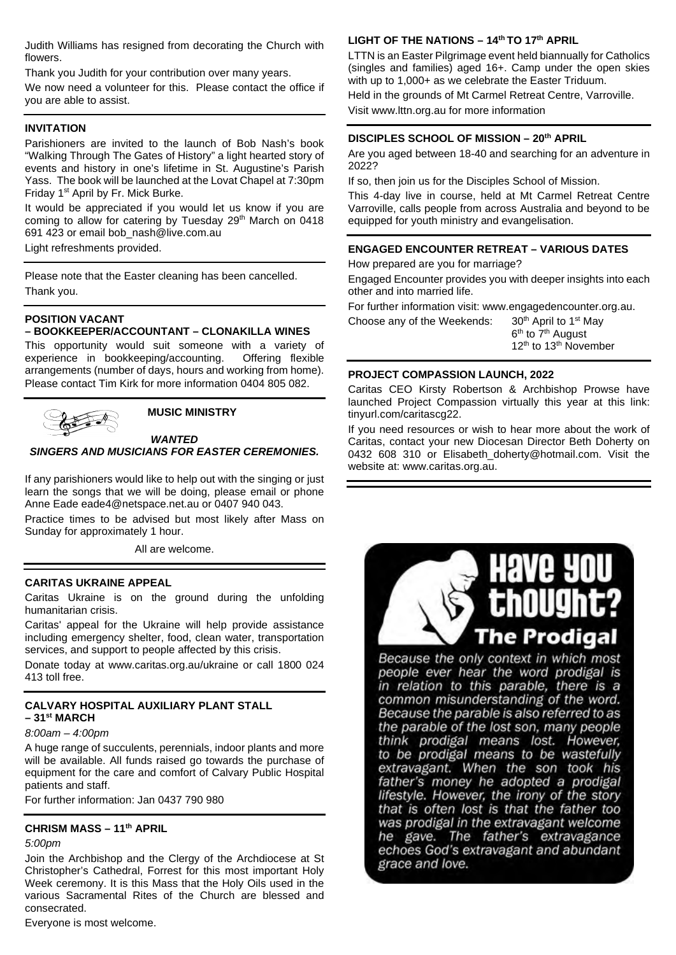Judith Williams has resigned from decorating the Church with flowers.

Thank you Judith for your contribution over many years.

We now need a volunteer for this. Please contact the office if you are able to assist.

## **INVITATION**

Parishioners are invited to the launch of Bob Nash's book "Walking Through The Gates of History" a light hearted story of events and history in one's lifetime in St. Augustine's Parish Yass. The book will be launched at the Lovat Chapel at 7:30pm Friday 1<sup>st</sup> April by Fr. Mick Burke.

It would be appreciated if you would let us know if you are coming to allow for catering by Tuesday 29<sup>th</sup> March on 0418 691 423 or email bob\_nash@live.com.au

Light refreshments provided.

Please note that the Easter cleaning has been cancelled. Thank you.

## **POSITION VACANT**

#### **– BOOKKEEPER/ACCOUNTANT – CLONAKILLA WINES**

This opportunity would suit someone with a variety of experience in bookkeeping/accounting. Offering flexible arrangements (number of days, hours and working from home). Please contact Tim Kirk for more information 0404 805 082.



#### **MUSIC MINISTRY**

#### *WANTED*

## *SINGERS AND MUSICIANS FOR EASTER CEREMONIES.*

If any parishioners would like to help out with the singing or just learn the songs that we will be doing, please email or phone Anne Eade eade4@netspace.net.au or 0407 940 043.

Practice times to be advised but most likely after Mass on Sunday for approximately 1 hour.

All are welcome.

#### **CARITAS UKRAINE APPEAL**

Caritas Ukraine is on the ground during the unfolding humanitarian crisis.

Caritas' appeal for the Ukraine will help provide assistance including emergency shelter, food, clean water, transportation services, and support to people affected by this crisis.

Donate today at www.caritas.org.au/ukraine or call 1800 024 413 toll free.

## **CALVARY HOSPITAL AUXILIARY PLANT STALL – 31st MARCH**

## *8:00am – 4:00pm*

A huge range of succulents, perennials, indoor plants and more will be available. All funds raised go towards the purchase of equipment for the care and comfort of Calvary Public Hospital patients and staff.

For further information: Jan 0437 790 980

## **CHRISM MASS – 11th APRIL**

#### *5:00pm*

Join the Archbishop and the Clergy of the Archdiocese at St Christopher's Cathedral, Forrest for this most important Holy Week ceremony. It is this Mass that the Holy Oils used in the various Sacramental Rites of the Church are blessed and consecrated.

#### Everyone is most welcome.

#### **LIGHT OF THE NATIONS – 14th TO 17th APRIL**

LTTN is an Easter Pilgrimage event held biannually for Catholics (singles and families) aged 16+. Camp under the open skies with up to 1,000+ as we celebrate the Easter Triduum.

Held in the grounds of Mt Carmel Retreat Centre, Varroville. Visit www.lttn.org.au for more information

## **DISCIPLES SCHOOL OF MISSION – 20th APRIL**

Are you aged between 18-40 and searching for an adventure in 2022?

If so, then join us for the Disciples School of Mission.

This 4-day live in course, held at Mt Carmel Retreat Centre Varroville, calls people from across Australia and beyond to be equipped for youth ministry and evangelisation.

#### **ENGAGED ENCOUNTER RETREAT – VARIOUS DATES**

How prepared are you for marriage?

Engaged Encounter provides you with deeper insights into each other and into married life.

For further information visit: www.engagedencounter.org.au.

Choose any of the Weekends:  $30<sup>th</sup>$  April to 1<sup>st</sup> May

6<sup>th</sup> to 7<sup>th</sup> August 12<sup>th</sup> to 13<sup>th</sup> November

#### **PROJECT COMPASSION LAUNCH, 2022**

Caritas CEO Kirsty Robertson & Archbishop Prowse have launched Project Compassion virtually this year at this link: tinyurl.com/caritascg22.

If you need resources or wish to hear more about the work of Caritas, contact your new Diocesan Director Beth Doherty on 0432 608 310 or Elisabeth doherty@hotmail.com. Visit the website at: www.caritas.org.au.



Because the only context in which most people ever hear the word prodigal is in relation to this parable, there is a common misunderstanding of the word. Because the parable is also referred to as the parable of the lost son, many people think prodigal means lost. However, to be prodigal means to be wastefully extravagant. When the son took his father's money he adopted a prodigal lifestyle. However, the irony of the story that is often lost is that the father too was prodigal in the extravagant welcome he gave. The father's extravagance echoes God's extravagant and abundant grace and love.